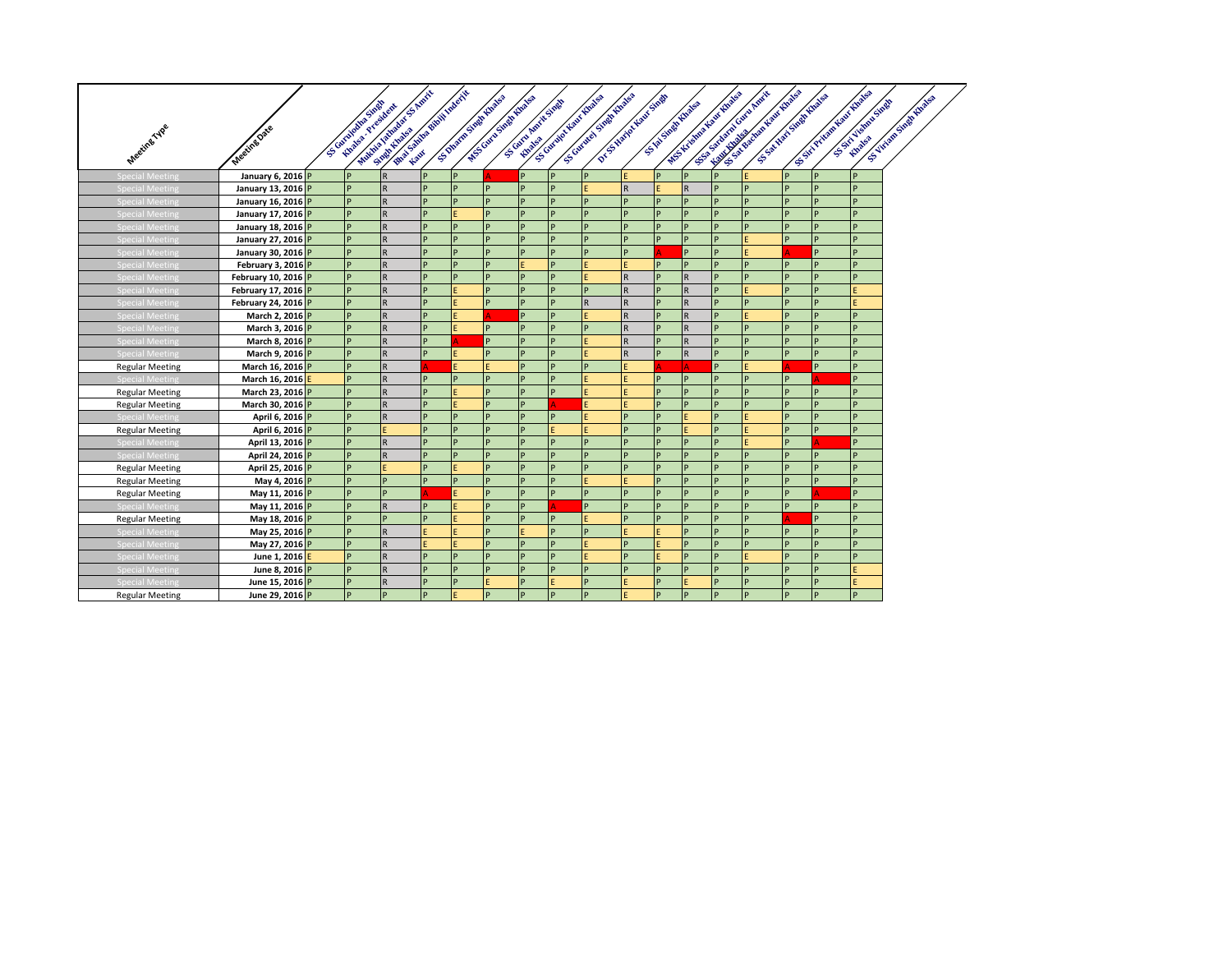|                        |                     | SS Guidalupoide Stage<br><b>Kingda, President</b> | First Library of White Record<br>WANTED ASSESSMENT PASSES |   |           | S. Dwam Swampuake<br>WESCOND STANDARDS | Scott Amit Sings |              | Sciences Statements of<br>DY STARTED MOVE STARTS<br>Kently Government Report |                         |   | W.S. Kickman House England<br>S VA STARK HIVAGES |              | And the post of the control of the control of the control of the control of the control of the control of the<br>For one of the contract of<br>Secretary of the Red Street |    | S.S. River New York Road | SSET VERITORISM | SS-TITURING STANDARDS |
|------------------------|---------------------|---------------------------------------------------|-----------------------------------------------------------|---|-----------|----------------------------------------|------------------|--------------|------------------------------------------------------------------------------|-------------------------|---|--------------------------------------------------|--------------|----------------------------------------------------------------------------------------------------------------------------------------------------------------------------|----|--------------------------|-----------------|-----------------------|
|                        |                     |                                                   |                                                           |   |           |                                        |                  |              |                                                                              |                         |   |                                                  |              |                                                                                                                                                                            |    |                          |                 |                       |
|                        |                     |                                                   |                                                           |   |           |                                        |                  |              |                                                                              |                         |   |                                                  |              |                                                                                                                                                                            |    |                          |                 |                       |
| Meeting Type           | Meeting Date        |                                                   |                                                           |   |           |                                        |                  |              |                                                                              |                         |   |                                                  |              |                                                                                                                                                                            |    |                          |                 |                       |
| <b>Special Meeting</b> | January 6, 2016 P   |                                                   | $\overline{R}$                                            | P | IP.       |                                        | P                | <b>P</b>     | P                                                                            |                         | P | P                                                | P            |                                                                                                                                                                            | P  | IP                       | <b>p</b>        |                       |
| <b>Special Meeting</b> | January 13, 2016 P  |                                                   | $\overline{R}$                                            | P | P         | P                                      |                  |              |                                                                              | R.                      | E | $\mathsf{R}$                                     | D            | D                                                                                                                                                                          |    | p                        | <b>p</b>        |                       |
| pecial Meetin          | January 16, 2016 P  | $\mathbf{D}$                                      | $\overline{R}$                                            | P | <b>D</b>  | D                                      |                  | D            | <sub>D</sub>                                                                 | D.                      | D | <b>p</b>                                         | <sub>D</sub> | <sub>D</sub>                                                                                                                                                               | D  | D                        | D               |                       |
| Special Meeting        | January 17, 2016 P  | D                                                 | $\overline{R}$                                            | P |           | p                                      |                  | <b>D</b>     | D                                                                            | D                       | p | <b>p</b>                                         | P            | P                                                                                                                                                                          | D  | P                        | <b>p</b>        |                       |
| <b>Special Meeting</b> | January 18, 2016 P  | P                                                 | $\overline{R}$                                            | P | P         | P                                      |                  | D            | P                                                                            | D                       | P | Þ                                                | p            | Þ                                                                                                                                                                          |    | P                        | D               |                       |
| <b>Special Meetin</b>  | January 27, 2016 P  | <b>D</b>                                          | $\overline{R}$                                            | P | l p       | <b>P</b>                               | D                | <b>P</b>     | D                                                                            | D                       | P | <b>p</b>                                         | <b>p</b>     | Ë                                                                                                                                                                          |    | p                        | <b>D</b>        |                       |
| <b>Special Meeting</b> | January 30, 2016 P  |                                                   | $\overline{R}$                                            | P | P         | P                                      |                  | <b>D</b>     |                                                                              | D                       |   | <b>P</b>                                         | D            | E                                                                                                                                                                          |    | P                        | D               |                       |
| Special Meetin         | February 3, 2016 P  |                                                   | $\overline{R}$                                            | P |           | D                                      |                  |              |                                                                              |                         | P | <b>p</b>                                         |              | Þ                                                                                                                                                                          | D  |                          | <b>p</b>        |                       |
| <b>Special Meeting</b> | February 10, 2016 P | D                                                 | $\overline{R}$                                            | P | <b>IP</b> | <b>D</b>                               | P                | <b>D</b>     |                                                                              | $\mathsf{R}$            | P | $\mathsf{R}$                                     | P            | <b>p</b>                                                                                                                                                                   | D  | P                        | <b>p</b>        |                       |
| <b>Special Meeting</b> | February 17, 2016 P |                                                   | $\overline{R}$                                            | P | E         | D                                      |                  | D            | D                                                                            | $\mathsf{R}$            | p | $\mathsf{R}$                                     | D            | E                                                                                                                                                                          |    | p                        |                 |                       |
| Special Meetin         | February 24, 2016 P | <b>D</b>                                          | $\overline{R}$                                            | P |           | <b>D</b>                               | P                | <b>D</b>     | $\mathsf{R}$                                                                 | R                       | P | $\overline{R}$                                   | P            | <b>p</b>                                                                                                                                                                   | D. | <b>P</b>                 |                 |                       |
| <b>Special Meeting</b> | March 2, 2016 P     | <b>p</b>                                          | $\overline{R}$                                            | P |           |                                        | P                | <b>D</b>     |                                                                              | $\mathsf{R}$            | P | $\overline{R}$                                   | P            | F                                                                                                                                                                          | D  | P                        | <b>p</b>        |                       |
| <b>Special Meeting</b> | March 3, 2016 P     |                                                   | R                                                         | P |           | D                                      |                  |              |                                                                              | R                       | P | $\overline{R}$                                   | D            | D                                                                                                                                                                          |    | p                        | <b>p</b>        |                       |
| Special Meetin         | March 8, 2016 P     | D                                                 | $\overline{R}$                                            | P |           | D                                      | D                | D            |                                                                              | $\overline{\mathsf{R}}$ | p | $\mathsf{R}$                                     | <b>p</b>     | <b>p</b>                                                                                                                                                                   | D  | D                        | <b>p</b>        |                       |
| <b>Special Meeting</b> | March 9, 2016 P     |                                                   | $\overline{R}$                                            | P |           | D                                      | D                | $\mathbf{D}$ |                                                                              | R                       | P | $\mathsf{R}$                                     | D            | D                                                                                                                                                                          |    | P                        | D               |                       |
| <b>Regular Meeting</b> | March 16, 2016 P    | P                                                 | $\overline{R}$                                            |   |           |                                        | P                | D            | P                                                                            |                         |   |                                                  | D            | Ë                                                                                                                                                                          |    | P                        | <b>p</b>        |                       |
| Special Meetin         | March 16, 2016 E    | P                                                 | $\overline{R}$                                            | P | <b>P</b>  | P                                      | P                | <b>P</b>     |                                                                              |                         | P | P                                                | <b>p</b>     | P                                                                                                                                                                          | D  |                          | <b>p</b>        |                       |
| <b>Regular Meeting</b> | March 23, 2016 P    |                                                   | $\overline{R}$                                            | P |           | p                                      |                  | P            |                                                                              |                         | P | Þ                                                | D            | D                                                                                                                                                                          |    |                          | D               |                       |
| <b>Regular Meeting</b> | March 30, 2016 P    | D                                                 | $\overline{\mathsf{R}}$                                   | P |           | <b>D</b>                               |                  |              |                                                                              |                         | p | <b>p</b>                                         | <sub>D</sub> | <b>p</b>                                                                                                                                                                   |    | D                        | D               |                       |
| <b>Special Meeting</b> | April 6, 2016 P     | P                                                 | $\overline{R}$                                            | P | <b>D</b>  | <b>D</b>                               |                  | <b>D</b>     |                                                                              | D                       | p | E                                                | Þ            | Ë                                                                                                                                                                          | D  | P                        | <b>p</b>        |                       |
| <b>Regular Meeting</b> | April 6, 2016 P     |                                                   |                                                           | P | P         | D                                      |                  |              |                                                                              | D.                      | Þ |                                                  | D            |                                                                                                                                                                            |    | P                        | D               |                       |
| <b>Special Meeting</b> | April 13, 2016 P    | <b>D</b>                                          | $\overline{R}$                                            | P | <b>P</b>  | P                                      | <b>D</b>         | <b>D</b>     | p                                                                            | D                       | P | <b>p</b>                                         | <b>p</b>     | E                                                                                                                                                                          | D  |                          | <b>p</b>        |                       |
| <b>Special Meeting</b> | April 24, 2016 P    |                                                   | $\overline{\mathsf{R}}$                                   | P | ·p        | P                                      |                  | <b>D</b>     |                                                                              | D                       | D | <b>p</b>                                         | D.           | D                                                                                                                                                                          | D  | P                        | D               |                       |
| <b>Regular Meeting</b> | April 25, 2016 P    |                                                   |                                                           | P |           | D                                      |                  |              |                                                                              |                         | P | <b>p</b>                                         | D            | D                                                                                                                                                                          |    | P                        | <b>p</b>        |                       |
| <b>Regular Meeting</b> | May 4, 2016 P       | D                                                 | D                                                         | P | P         | D                                      | D                | D            |                                                                              |                         | p | <b>p</b>                                         | D            | <b>p</b>                                                                                                                                                                   | D  | <b>p</b>                 | <b>p</b>        |                       |
| <b>Regular Meeting</b> | May 11, 2016 P      |                                                   | D                                                         |   |           | D                                      |                  | P            | D                                                                            | D.                      | D | D                                                | D            | D                                                                                                                                                                          |    |                          | D.              |                       |
| Special Meetin         | May 11, 2016 P      | <b>p</b>                                          | $\overline{R}$                                            | P |           | <b>D</b>                               | P                |              |                                                                              | D.                      | P | <b>p</b>                                         | P            | <b>p</b>                                                                                                                                                                   | D. | P                        | D               |                       |
| <b>Regular Meeting</b> | May 18, 2016 P      | <b>p</b>                                          | P                                                         | P |           | P                                      |                  | <b>D</b>     |                                                                              | Þ                       | P | P                                                | P            | P                                                                                                                                                                          |    | P                        | <b>p</b>        |                       |
| Special Meeting        | May 25, 2016 P      |                                                   | R                                                         |   |           | D                                      |                  |              |                                                                              |                         |   | D                                                | D            | D                                                                                                                                                                          |    |                          | D               |                       |
| Special Meeting        | May 27, 2016 P      | <b>p</b>                                          | $\overline{R}$                                            |   |           | <b>D</b>                               | D                | <b>D</b>     |                                                                              | D                       | E | <b>p</b>                                         | <b>p</b>     | <b>p</b>                                                                                                                                                                   | D  | <b>p</b>                 | <b>p</b>        |                       |
| <b>Special Meeting</b> | June 1, 2016 E      | D                                                 | $\mathsf R$                                               | P | <b>D</b>  | <b>D</b>                               | D                | <b>D</b>     |                                                                              | D.                      | F | <b>p</b>                                         | D            | F                                                                                                                                                                          |    | P                        | D               |                       |
| <b>Special Meeting</b> | June 8, 2016 P      | P                                                 | $\overline{R}$                                            | P | <b>IP</b> | P                                      |                  | P            | P                                                                            | Þ                       | P | <b>p</b>                                         | P            | P                                                                                                                                                                          |    | P                        |                 |                       |
| <b>Special Meeting</b> | June 15, 2016 P     | P                                                 | $\mathsf{R}$                                              | P | <b>IP</b> |                                        | P                |              | P                                                                            |                         | P |                                                  | P            | P                                                                                                                                                                          | D  | P                        |                 |                       |
| <b>Regular Meeting</b> | June 29, 2016 P     |                                                   | <b>P</b>                                                  | P | E         | P                                      | <b>D</b>         | P            | D                                                                            |                         | P | <b>p</b>                                         | D            | <b>p</b>                                                                                                                                                                   |    | P                        | D               |                       |